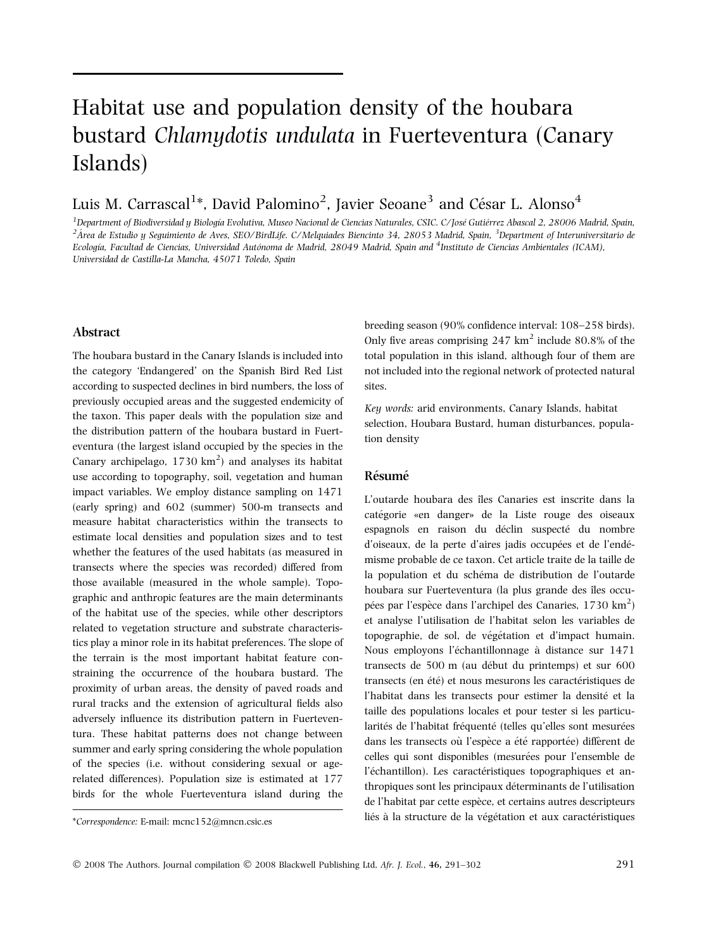# Habitat use and population density of the houbara bustard Chlamydotis undulata in Fuerteventura (Canary Islands)

Luis M. Carrascal $^{1*}$ , David Palomino $^{2}$ , Javier Seoane $^{3}$  and César L. Alonso $^{4}$ 

<sup>1</sup> Department of Biodiversidad u Biología Evolutiva. Museo Nacional de Ciencias Naturales. CSIC. C/José Gutiérrez Abascal 2, 28006 Madrid. Spain. <sup>1</sup>Department of Biodiversidad y Biología Evolutiva, Museo Nacional de Ciencias Naturales, CSIC. C/José Gutiérrez Abascal 2, 28006 Madrid, Spain,<br><sup>2</sup>Área de Estudio y Seguimiento de Aves, SEO/BirdLife. C/Melquiades Biencin Ecología, Facultad de Ciencias, Universidad Autónoma de Madrid, 28049 Madrid, Spain and <sup>4</sup>Instituto de Ciencias Ambientales (ICAM), Universidad de Castilla-La Mancha, 45071 Toledo, Spain

## Abstract

The houbara bustard in the Canary Islands is included into the category 'Endangered' on the Spanish Bird Red List according to suspected declines in bird numbers, the loss of previously occupied areas and the suggested endemicity of the taxon. This paper deals with the population size and the distribution pattern of the houbara bustard in Fuerteventura (the largest island occupied by the species in the Canary archipelago,  $1730 \text{ km}^2$ ) and analyses its habitat use according to topography, soil, vegetation and human impact variables. We employ distance sampling on 1471 (early spring) and 602 (summer) 500-m transects and measure habitat characteristics within the transects to estimate local densities and population sizes and to test whether the features of the used habitats (as measured in transects where the species was recorded) differed from those available (measured in the whole sample). Topographic and anthropic features are the main determinants of the habitat use of the species, while other descriptors related to vegetation structure and substrate characteristics play a minor role in its habitat preferences. The slope of the terrain is the most important habitat feature constraining the occurrence of the houbara bustard. The proximity of urban areas, the density of paved roads and rural tracks and the extension of agricultural fields also adversely influence its distribution pattern in Fuerteventura. These habitat patterns does not change between summer and early spring considering the whole population of the species (i.e. without considering sexual or agerelated differences). Population size is estimated at 177 birds for the whole Fuerteventura island during the

breeding season (90% confidence interval: 108–258 birds). Only five areas comprising  $247 \text{ km}^2$  include 80.8% of the total population in this island, although four of them are not included into the regional network of protected natural sites.

Key words: arid environments, Canary Islands, habitat selection, Houbara Bustard, human disturbances, population density

# Résumé

L'outarde houbara des îles Canaries est inscrite dans la catégorie «en danger» de la Liste rouge des oiseaux espagnols en raison du déclin suspecté du nombre d'oiseaux, de la perte d'aires jadis occupées et de l'endémisme probable de ce taxon. Cet article traite de la taille de la population et du schéma de distribution de l'outarde houbara sur Fuerteventura (la plus grande des îles occupées par l'espèce dans l'archipel des Canaries,  $1730 \text{ km}^2$ ) et analyse l'utilisation de l'habitat selon les variables de topographie, de sol, de végétation et d'impact humain. Nous employons l'échantillonnage à distance sur 1471 transects de 500 m (au début du printemps) et sur 600 transects (en été) et nous mesurons les caractéristiques de l'habitat dans les transects pour estimer la densité et la taille des populations locales et pour tester si les particularités de l'habitat fréquenté (telles qu'elles sont mesurées dans les transects où l'espèce a été rapportée) diffèrent de celles qui sont disponibles (mesurées pour l'ensemble de l'échantillon). Les caractéristiques topographiques et anthropiques sont les principaux déterminants de l'utilisation de l'habitat par cette espèce, et certains autres descripteurs \*Correspondence: E-mail: mcnc152@mncn.csic.es liés à la structure de la végétation et aux caractéristiques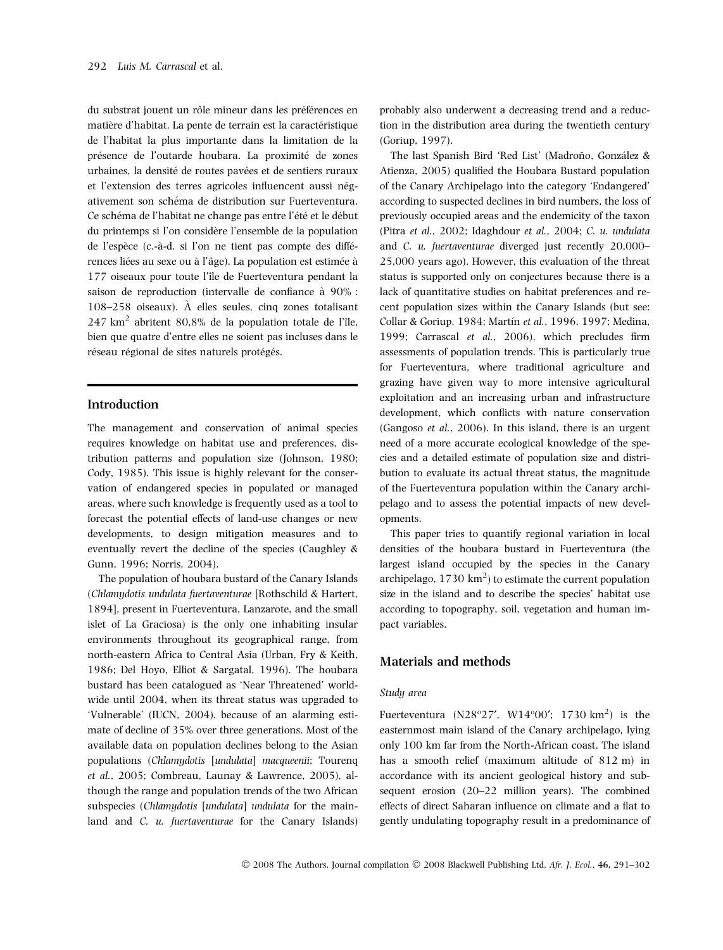du substrat jouent un rôle mineur dans les préférences en matière d'habitat. La pente de terrain est la caractéristique de l'habitat la plus importante dans la limitation de la présence de l'outarde houbara. La proximité de zones urbaines, la densité de routes pavées et de sentiers ruraux et l'extension des terres agricoles influencent aussi négativement son schéma de distribution sur Fuerteventura. Ce schéma de l'habitat ne change pas entre l'été et le début du printemps si l'on considère l'ensemble de la population de l'espèce (c.-à-d. si l'on ne tient pas compte des différences liées au sexe ou à l'âge). La population est estimée à 177 oiseaux pour toute l'île de Fuerteventura pendant la saison de reproduction (intervalle de confiance à 90% : 108–258 oiseaux).  $\hat{A}$  elles seules, cinq zones totalisant  $247 \text{ km}^2$  abritent 80,8% de la population totale de l'île, bien que quatre d'entre elles ne soient pas incluses dans le réseau régional de sites naturels protégés.

## Introduction

The management and conservation of animal species requires knowledge on habitat use and preferences, distribution patterns and population size (Johnson, 1980; Cody, 1985). This issue is highly relevant for the conservation of endangered species in populated or managed areas, where such knowledge is frequently used as a tool to forecast the potential effects of land-use changes or new developments, to design mitigation measures and to eventually revert the decline of the species (Caughley & Gunn, 1996; Norris, 2004).

The population of houbara bustard of the Canary Islands (Chlamydotis undulata fuertaventurae [Rothschild & Hartert, 1894], present in Fuerteventura, Lanzarote, and the small islet of La Graciosa) is the only one inhabiting insular environments throughout its geographical range, from north-eastern Africa to Central Asia (Urban, Fry & Keith, 1986; Del Hoyo, Elliot & Sargatal, 1996). The houbara bustard has been catalogued as 'Near Threatened' worldwide until 2004, when its threat status was upgraded to 'Vulnerable' (IUCN, 2004), because of an alarming estimate of decline of 35% over three generations. Most of the available data on population declines belong to the Asian populations (Chlamydotis [undulata] macqueenii; Tourenq et al., 2005; Combreau, Launay & Lawrence, 2005), although the range and population trends of the two African subspecies (Chlamydotis [undulata] undulata for the mainland and C. u. fuertaventurae for the Canary Islands) probably also underwent a decreasing trend and a reduction in the distribution area during the twentieth century (Goriup, 1997).

The last Spanish Bird 'Red List' (Madroño, González & Atienza, 2005) qualified the Houbara Bustard population of the Canary Archipelago into the category 'Endangered' according to suspected declines in bird numbers, the loss of previously occupied areas and the endemicity of the taxon (Pitra et al., 2002; Idaghdour et al., 2004; C. u. undulata and C. u. fuertaventurae diverged just recently 20,000– 25,000 years ago). However, this evaluation of the threat status is supported only on conjectures because there is a lack of quantitative studies on habitat preferences and recent population sizes within the Canary Islands (but see: Collar & Goriup, 1984; Martín et al., 1996, 1997; Medina, 1999; Carrascal et al., 2006), which precludes firm assessments of population trends. This is particularly true for Fuerteventura, where traditional agriculture and grazing have given way to more intensive agricultural exploitation and an increasing urban and infrastructure development, which conflicts with nature conservation (Gangoso et al., 2006). In this island, there is an urgent need of a more accurate ecological knowledge of the species and a detailed estimate of population size and distribution to evaluate its actual threat status, the magnitude of the Fuerteventura population within the Canary archipelago and to assess the potential impacts of new developments.

This paper tries to quantify regional variation in local densities of the houbara bustard in Fuerteventura (the largest island occupied by the species in the Canary archipelago,  $1730 \text{ km}^2$ ) to estimate the current population size in the island and to describe the species' habitat use according to topography, soil, vegetation and human impact variables.

## Materials and methods

### Study area

Fuerteventura ( $N28^{\circ}27'$ ,  $W14^{\circ}00'$ ; 1730 km<sup>2</sup>) is the easternmost main island of the Canary archipelago, lying only 100 km far from the North-African coast. The island has a smooth relief (maximum altitude of 812 m) in accordance with its ancient geological history and subsequent erosion (20–22 million years). The combined effects of direct Saharan influence on climate and a flat to gently undulating topography result in a predominance of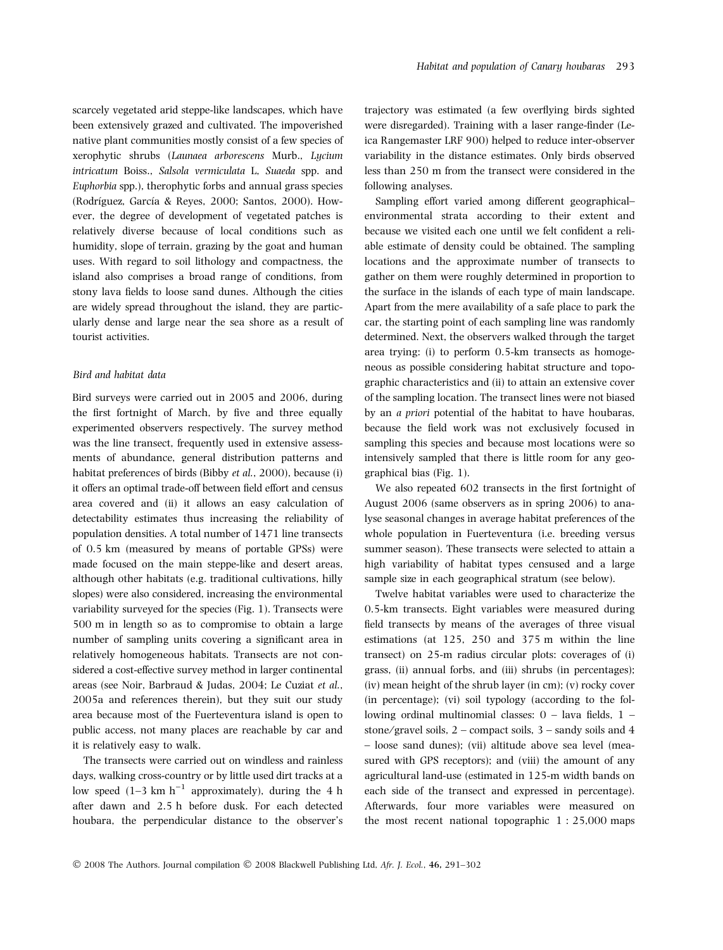scarcely vegetated arid steppe-like landscapes, which have been extensively grazed and cultivated. The impoverished native plant communities mostly consist of a few species of xerophytic shrubs (Launaea arborescens Murb., Lycium intricatum Boiss., Salsola vermiculata L, Suaeda spp. and Euphorbia spp.), therophytic forbs and annual grass species (Rodríguez, García & Reyes, 2000; Santos, 2000). However, the degree of development of vegetated patches is relatively diverse because of local conditions such as humidity, slope of terrain, grazing by the goat and human uses. With regard to soil lithology and compactness, the island also comprises a broad range of conditions, from stony lava fields to loose sand dunes. Although the cities are widely spread throughout the island, they are particularly dense and large near the sea shore as a result of tourist activities.

#### Bird and habitat data

Bird surveys were carried out in 2005 and 2006, during the first fortnight of March, by five and three equally experimented observers respectively. The survey method was the line transect, frequently used in extensive assessments of abundance, general distribution patterns and habitat preferences of birds (Bibby et al., 2000), because (i) it offers an optimal trade-off between field effort and census area covered and (ii) it allows an easy calculation of detectability estimates thus increasing the reliability of population densities. A total number of 1471 line transects of 0.5 km (measured by means of portable GPSs) were made focused on the main steppe-like and desert areas, although other habitats (e.g. traditional cultivations, hilly slopes) were also considered, increasing the environmental variability surveyed for the species (Fig. 1). Transects were 500 m in length so as to compromise to obtain a large number of sampling units covering a significant area in relatively homogeneous habitats. Transects are not considered a cost-effective survey method in larger continental areas (see Noir, Barbraud & Judas, 2004; Le Cuziat et al., 2005a and references therein), but they suit our study area because most of the Fuerteventura island is open to public access, not many places are reachable by car and it is relatively easy to walk.

The transects were carried out on windless and rainless days, walking cross-country or by little used dirt tracks at a low speed  $(1-3 \text{ km h}^{-1})$  approximately), during the 4 h after dawn and 2.5 h before dusk. For each detected houbara, the perpendicular distance to the observer's

trajectory was estimated (a few overflying birds sighted were disregarded). Training with a laser range-finder (Leica Rangemaster LRF 900) helped to reduce inter-observer variability in the distance estimates. Only birds observed less than 250 m from the transect were considered in the following analyses.

Sampling effort varied among different geographical– environmental strata according to their extent and because we visited each one until we felt confident a reliable estimate of density could be obtained. The sampling locations and the approximate number of transects to gather on them were roughly determined in proportion to the surface in the islands of each type of main landscape. Apart from the mere availability of a safe place to park the car, the starting point of each sampling line was randomly determined. Next, the observers walked through the target area trying: (i) to perform 0.5-km transects as homogeneous as possible considering habitat structure and topographic characteristics and (ii) to attain an extensive cover of the sampling location. The transect lines were not biased by an a priori potential of the habitat to have houbaras, because the field work was not exclusively focused in sampling this species and because most locations were so intensively sampled that there is little room for any geographical bias (Fig. 1).

We also repeated 602 transects in the first fortnight of August 2006 (same observers as in spring 2006) to analyse seasonal changes in average habitat preferences of the whole population in Fuerteventura (i.e. breeding versus summer season). These transects were selected to attain a high variability of habitat types censused and a large sample size in each geographical stratum (see below).

Twelve habitat variables were used to characterize the 0.5-km transects. Eight variables were measured during field transects by means of the averages of three visual estimations (at 125, 250 and 375 m within the line transect) on 25-m radius circular plots: coverages of (i) grass, (ii) annual forbs, and (iii) shrubs (in percentages); (iv) mean height of the shrub layer (in cm); (v) rocky cover (in percentage); (vi) soil typology (according to the following ordinal multinomial classes: 0 – lava fields, 1 – stone/gravel soils,  $2$  – compact soils,  $3$  – sandy soils and  $4$ – loose sand dunes); (vii) altitude above sea level (measured with GPS receptors); and (viii) the amount of any agricultural land-use (estimated in 125-m width bands on each side of the transect and expressed in percentage). Afterwards, four more variables were measured on the most recent national topographic 1 : 25,000 maps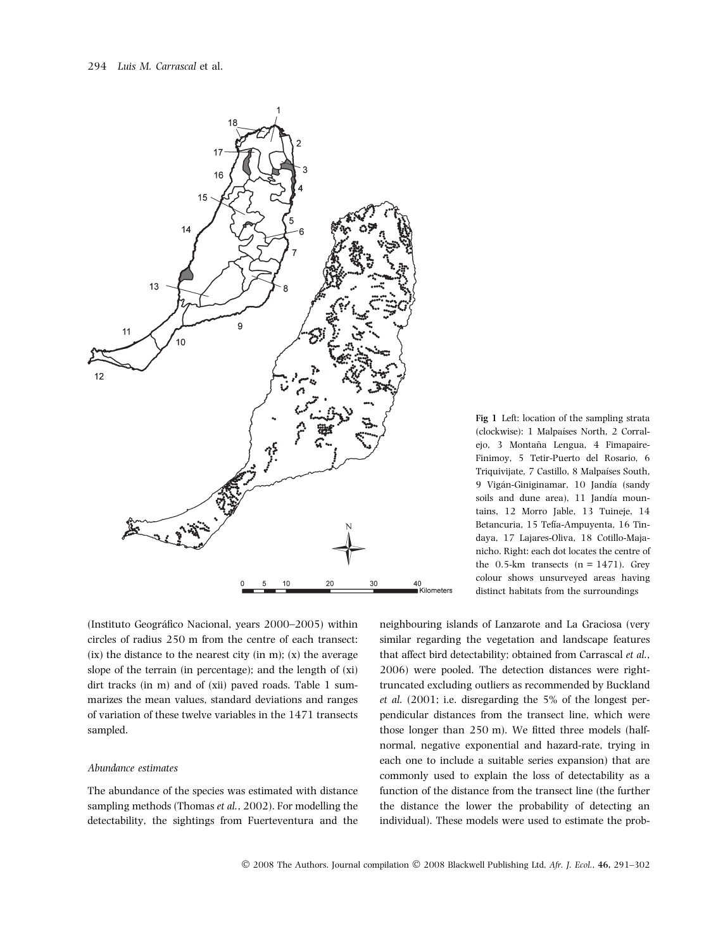

(Instituto Geográfico Nacional, years 2000–2005) within circles of radius 250 m from the centre of each transect:  $(ix)$  the distance to the nearest city (in m);  $(x)$  the average slope of the terrain (in percentage); and the length of (xi) dirt tracks (in m) and of (xii) paved roads. Table 1 summarizes the mean values, standard deviations and ranges of variation of these twelve variables in the 1471 transects sampled.

#### Abundance estimates

The abundance of the species was estimated with distance sampling methods (Thomas et al., 2002). For modelling the detectability, the sightings from Fuerteventura and the Fig 1 Left: location of the sampling strata (clockwise): 1 Malpaı´ses North, 2 Corralejo, 3 Montaña Lengua, 4 Fimapaire-Finimoy, 5 Tetir-Puerto del Rosario, 6 Triquivijate, 7 Castillo, 8 Malpaíses South, 9 Vigán-Giniginamar, 10 Jandía (sandy soils and dune area), 11 Jandía mountains, 12 Morro Jable, 13 Tuineje, 14 Betancuria, 15 Tefía-Ampuyenta, 16 Tindaya, 17 Lajares-Oliva, 18 Cotillo-Majanicho. Right: each dot locates the centre of the 0.5-km transects  $(n = 1471)$ . Grey colour shows unsurveyed areas having distinct habitats from the surroundings

neighbouring islands of Lanzarote and La Graciosa (very similar regarding the vegetation and landscape features that affect bird detectability; obtained from Carrascal et al., 2006) were pooled. The detection distances were righttruncated excluding outliers as recommended by Buckland et al. (2001; i.e. disregarding the 5% of the longest perpendicular distances from the transect line, which were those longer than 250 m). We fitted three models (halfnormal, negative exponential and hazard-rate, trying in each one to include a suitable series expansion) that are commonly used to explain the loss of detectability as a function of the distance from the transect line (the further the distance the lower the probability of detecting an individual). These models were used to estimate the prob-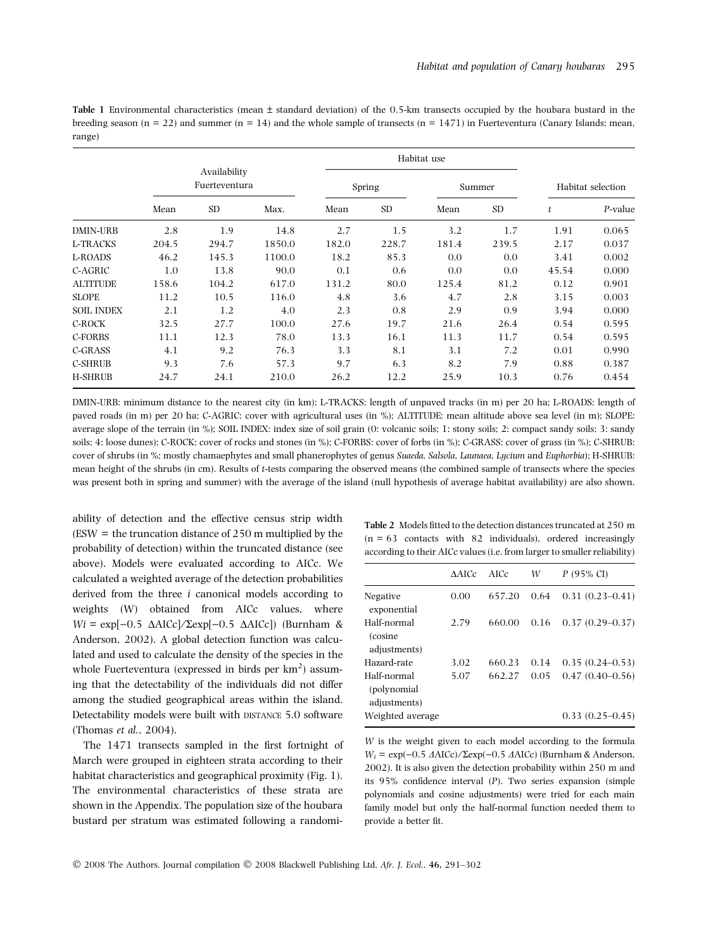| <b>Table 1</b> Environmental characteristics (mean $\pm$ standard deviation) of the 0.5-km transects occupied by the houbara bustard in the   |  |
|-----------------------------------------------------------------------------------------------------------------------------------------------|--|
| breeding season ( $n = 22$ ) and summer ( $n = 14$ ) and the whole sample of transects ( $n = 1471$ ) in Fuerteventura (Canary Islands; mean, |  |
| range)                                                                                                                                        |  |

|                   |       |                               |        |       |                | Habitat use |           |       |                   |
|-------------------|-------|-------------------------------|--------|-------|----------------|-------------|-----------|-------|-------------------|
|                   |       | Availability<br>Fuerteventura |        |       | Spring         |             | Summer    |       | Habitat selection |
|                   | Mean  | <b>SD</b>                     | Max.   | Mean  | SD <sub></sub> | Mean        | <b>SD</b> | t     | P-value           |
| <b>DMIN-URB</b>   | 2.8   | 1.9                           | 14.8   | 2.7   | 1.5            | 3.2         | 1.7       | 1.91  | 0.065             |
| L-TRACKS          | 204.5 | 294.7                         | 1850.0 | 182.0 | 228.7          | 181.4       | 239.5     | 2.17  | 0.037             |
| L-ROADS           | 46.2  | 145.3                         | 1100.0 | 18.2  | 85.3           | 0.0         | 0.0       | 3.41  | 0.002             |
| C-AGRIC           | 1.0   | 13.8                          | 90.0   | 0.1   | 0.6            | 0.0         | 0.0       | 45.54 | 0.000             |
| <b>ALTITUDE</b>   | 158.6 | 104.2                         | 617.0  | 131.2 | 80.0           | 125.4       | 81.2      | 0.12  | 0.901             |
| <b>SLOPE</b>      | 11.2  | 10.5                          | 116.0  | 4.8   | 3.6            | 4.7         | 2.8       | 3.15  | 0.003             |
| <b>SOIL INDEX</b> | 2.1   | 1.2                           | 4.0    | 2.3   | 0.8            | 2.9         | 0.9       | 3.94  | 0.000             |
| C-ROCK            | 32.5  | 27.7                          | 100.0  | 27.6  | 19.7           | 21.6        | 26.4      | 0.54  | 0.595             |
| C-FORBS           | 11.1  | 12.3                          | 78.0   | 13.3  | 16.1           | 11.3        | 11.7      | 0.54  | 0.595             |
| C-GRASS           | 4.1   | 9.2                           | 76.3   | 3.3   | 8.1            | 3.1         | 7.2       | 0.01  | 0.990             |
| <b>C-SHRUB</b>    | 9.3   | 7.6                           | 57.3   | 9.7   | 6.3            | 8.2         | 7.9       | 0.88  | 0.387             |
| <b>H-SHRUB</b>    | 24.7  | 24.1                          | 210.0  | 26.2  | 12.2           | 25.9        | 10.3      | 0.76  | 0.454             |

DMIN-URB: minimum distance to the nearest city (in km); L-TRACKS: length of unpaved tracks (in m) per 20 ha; L-ROADS: length of paved roads (in m) per 20 ha; C-AGRIC: cover with agricultural uses (in %); ALTITUDE: mean altitude above sea level (in m); SLOPE: average slope of the terrain (in %); SOIL INDEX: index size of soil grain (0: volcanic soils; 1: stony soils; 2: compact sandy soils; 3: sandy soils; 4: loose dunes); C-ROCK: cover of rocks and stones (in %); C-FORBS: cover of forbs (in %); C-GRASS: cover of grass (in %); C-SHRUB: cover of shrubs (in %; mostly chamaephytes and small phanerophytes of genus Suaeda, Salsola, Launaea, Lycium and Euphorbia); H-SHRUB: mean height of the shrubs (in cm). Results of t-tests comparing the observed means (the combined sample of transects where the species was present both in spring and summer) with the average of the island (null hypothesis of average habitat availability) are also shown.

ability of detection and the effective census strip width (ESW = the truncation distance of 250 m multiplied by the probability of detection) within the truncated distance (see above). Models were evaluated according to AICc. We calculated a weighted average of the detection probabilities derived from the three i canonical models according to weights (W) obtained from AICc values, where  $Wi = \exp[-0.5 \Delta AICc]/\Sigma \exp[-0.5 \Delta AICc])$  (Burnham & Anderson, 2002). A global detection function was calculated and used to calculate the density of the species in the whole Fuerteventura (expressed in birds per  $km^2$ ) assuming that the detectability of the individuals did not differ among the studied geographical areas within the island. Detectability models were built with DISTANCE 5.0 software (Thomas et al., 2004).

The 1471 transects sampled in the first fortnight of March were grouped in eighteen strata according to their habitat characteristics and geographical proximity (Fig. 1). The environmental characteristics of these strata are shown in the Appendix. The population size of the houbara bustard per stratum was estimated following a randomiTable 2 Models fitted to the detection distances truncated at 250 m  $(n = 63$  contacts with 82 individuals), ordered increasingly according to their AICc values (i.e. from larger to smaller reliability)

|                                             | AAICc | AICc   | W    | $P$ (95% CI)        |
|---------------------------------------------|-------|--------|------|---------------------|
| Negative<br>exponential                     | 0.00  | 657.20 | 0.64 | $0.31(0.23 - 0.41)$ |
| Half-normal<br>(cosine)<br>adjustments)     | 2.79  | 660.00 | 0.16 | $0.37(0.29 - 0.37)$ |
| Hazard-rate                                 | 3.02  | 660.23 | 0.14 | $0.35(0.24 - 0.53)$ |
| Half-normal<br>(polynomial)<br>adjustments) | 5.07  | 662.27 | 0.05 | $0.47(0.40 - 0.56)$ |
| Weighted average                            |       |        |      | $0.33(0.25-0.45)$   |

W is the weight given to each model according to the formula  $W_i = \exp(-0.5 \ \text{AAICc}) / \Sigma \exp(-0.5 \ \text{AAICc})$  (Burnham & Anderson, 2002). It is also given the detection probability within 250 m and its 95% confidence interval (P). Two series expansion (simple polynomials and cosine adjustments) were tried for each main family model but only the half-normal function needed them to provide a better fit.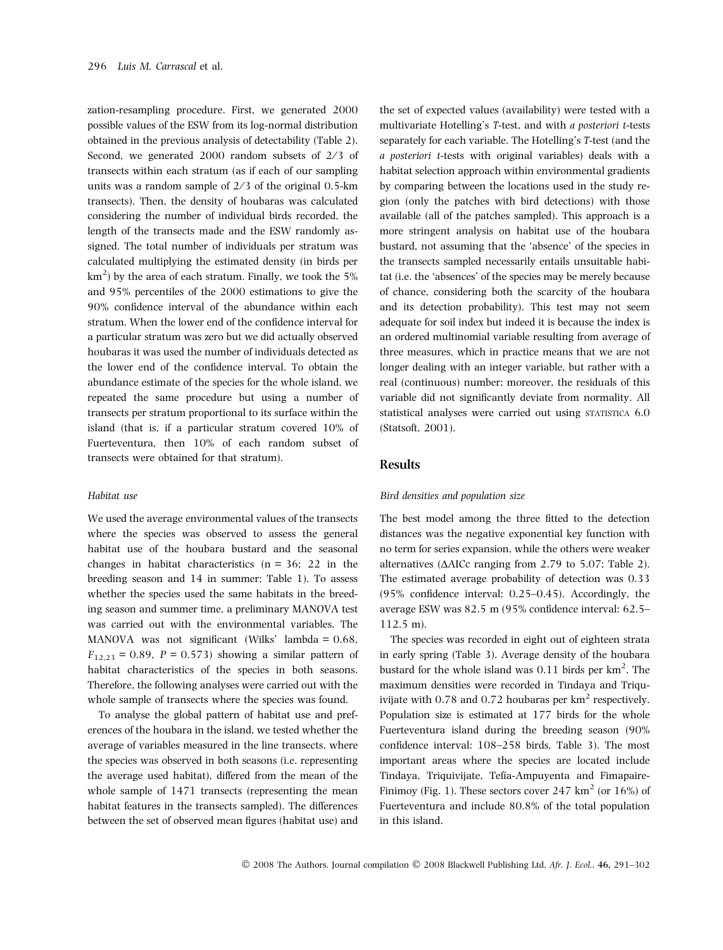zation-resampling procedure. First, we generated 2000 possible values of the ESW from its log-normal distribution obtained in the previous analysis of detectability (Table 2). Second, we generated  $2000$  random subsets of  $2/3$  of transects within each stratum (as if each of our sampling units was a random sample of  $2/3$  of the original 0.5-km transects). Then, the density of houbaras was calculated considering the number of individual birds recorded, the length of the transects made and the ESW randomly assigned. The total number of individuals per stratum was calculated multiplying the estimated density (in birds per  $\rm km^2)$  by the area of each stratum. Finally, we took the 5% and 95% percentiles of the 2000 estimations to give the 90% confidence interval of the abundance within each stratum. When the lower end of the confidence interval for a particular stratum was zero but we did actually observed houbaras it was used the number of individuals detected as the lower end of the confidence interval. To obtain the abundance estimate of the species for the whole island, we repeated the same procedure but using a number of transects per stratum proportional to its surface within the island (that is, if a particular stratum covered 10% of Fuerteventura, then 10% of each random subset of transects were obtained for that stratum).

#### Habitat use

We used the average environmental values of the transects where the species was observed to assess the general habitat use of the houbara bustard and the seasonal changes in habitat characteristics  $(n = 36; 22$  in the breeding season and 14 in summer; Table 1). To assess whether the species used the same habitats in the breeding season and summer time, a preliminary MANOVA test was carried out with the environmental variables. The MANOVA was not significant (Wilks' lambda = 0.68,  $F_{12,23} = 0.89$ ,  $P = 0.573$ ) showing a similar pattern of habitat characteristics of the species in both seasons. Therefore, the following analyses were carried out with the whole sample of transects where the species was found.

To analyse the global pattern of habitat use and preferences of the houbara in the island, we tested whether the average of variables measured in the line transects, where the species was observed in both seasons (i.e. representing the average used habitat), differed from the mean of the whole sample of 1471 transects (representing the mean habitat features in the transects sampled). The differences between the set of observed mean figures (habitat use) and

the set of expected values (availability) were tested with a multivariate Hotelling's T-test, and with a posteriori t-tests separately for each variable. The Hotelling's T-test (and the a posteriori t-tests with original variables) deals with a habitat selection approach within environmental gradients by comparing between the locations used in the study region (only the patches with bird detections) with those available (all of the patches sampled). This approach is a more stringent analysis on habitat use of the houbara bustard, not assuming that the 'absence' of the species in the transects sampled necessarily entails unsuitable habitat (i.e. the 'absences' of the species may be merely because of chance, considering both the scarcity of the houbara and its detection probability). This test may not seem adequate for soil index but indeed it is because the index is an ordered multinomial variable resulting from average of three measures, which in practice means that we are not longer dealing with an integer variable, but rather with a real (continuous) number; moreover, the residuals of this variable did not significantly deviate from normality. All statistical analyses were carried out using STATISTICA 6.0 (Statsoft, 2001).

## Results

#### Bird densities and population size

The best model among the three fitted to the detection distances was the negative exponential key function with no term for series expansion, while the others were weaker alternatives ( $\triangle$ AICc ranging from 2.79 to 5.07; Table 2). The estimated average probability of detection was 0.33 (95% confidence interval: 0.25–0.45). Accordingly, the average ESW was 82.5 m (95% confidence interval: 62.5– 112.5 m).

The species was recorded in eight out of eighteen strata in early spring (Table 3). Average density of the houbara bustard for the whole island was  $0.11$  birds per  $km<sup>2</sup>$ . The maximum densities were recorded in Tindaya and Triquivijate with  $0.78$  and  $0.72$  houbaras per  $km<sup>2</sup>$  respectively. Population size is estimated at 177 birds for the whole Fuerteventura island during the breeding season (90% confidence interval: 108–258 birds, Table 3). The most important areas where the species are located include Tindaya, Triquivijate, Tefía-Ampuyenta and Fimapaire-Finimoy (Fig. 1). These sectors cover 247  $km^2$  (or 16%) of Fuerteventura and include 80.8% of the total population in this island.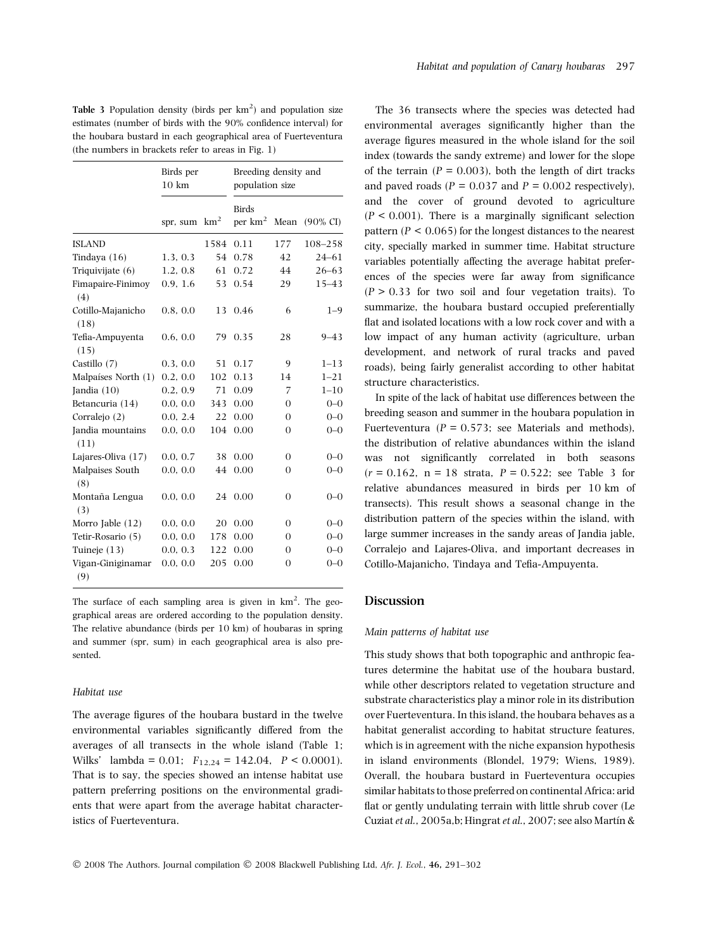Table 3 Population density (birds per  $km^2$ ) and population size estimates (number of birds with the 90% confidence interval) for the houbara bustard in each geographical area of Fuerteventura (the numbers in brackets refer to areas in Fig. 1)

|                           | Birds per<br>$10 \text{ km}$ |                 | Breeding density and<br>population size |                |                     |
|---------------------------|------------------------------|-----------------|-----------------------------------------|----------------|---------------------|
|                           | spr, sum                     | km <sup>2</sup> | <b>Birds</b><br>per $km^2$              | Mean           | $(90\% \text{ CI})$ |
| <b>ISLAND</b>             |                              | 1584            | 0.11                                    | 177            | 108-258             |
| Tindaya $(16)$            | 1.3, 0.3                     | 54              | 0.78                                    | 42             | $24 - 61$           |
| Triquivijate $(6)$        | 1.2, 0.8                     | 61              | 0.72                                    | 44             | $26 - 63$           |
| Fimapaire-Finimoy<br>(4)  | 0.9, 1.6                     | 53              | 0.54                                    | 29             | $15 - 43$           |
| Cotillo-Majanicho<br>(18) | 0.8, 0.0                     | 13              | 0.46                                    | 6              | $1 - 9$             |
| Tefia-Ampuyenta<br>(15)   | 0.6, 0.0                     | 79              | 0.35                                    | 28             | $9 - 43$            |
| Castillo (7)              | 0.3, 0.0                     | 51              | 0.17                                    | 9              | $1 - 13$            |
| Malpaíses North (1)       | 0.2, 0.0                     | 102             | 0.13                                    | 14             | $1 - 21$            |
| Jandia $(10)$             | 0.2, 0.9                     | 71              | 0.09                                    | 7              | $1 - 10$            |
| Betancuria (14)           | 0.0, 0.0                     | 343             | 0.00                                    | $\Omega$       | $0 - 0$             |
| Corralejo (2)             | 0.0, 2.4                     | 22              | 0.00                                    | 0              | $0 - 0$             |
| Jandia mountains<br>(11)  | 0.0, 0.0                     | 104             | 0.00                                    | 0              | $0 - 0$             |
| Lajares-Oliva (17)        | 0.0, 0.7                     | 38              | 0.00                                    | $\overline{0}$ | $0 - 0$             |
| Malpaises South<br>(8)    | 0.0, 0.0                     | 44              | 0.00                                    | $\Omega$       | $0 - 0$             |
| Montaña Lengua<br>(3)     | 0.0, 0.0                     | 24              | 0.00                                    | 0              | $0 - 0$             |
| Morro Jable $(12)$        | 0.0, 0.0                     | 20              | 0.00                                    | $\Omega$       | $0 - 0$             |
| Tetir-Rosario (5)         | 0.0, 0.0                     | 178             | 0.00                                    | 0              | $0 - 0$             |
| Tuineje $(13)$            | 0.0, 0.3                     | 122             | 0.00                                    | 0              | $0 - 0$             |
| Vigan-Giniginamar<br>(9)  | 0.0, 0.0                     | 205             | 0.00                                    | 0              | $0 - 0$             |

The surface of each sampling area is given in  $km^2$ . The geographical areas are ordered according to the population density. The relative abundance (birds per 10 km) of houbaras in spring and summer (spr, sum) in each geographical area is also presented.

#### Habitat use

The average figures of the houbara bustard in the twelve environmental variables significantly differed from the averages of all transects in the whole island (Table 1; Wilks' lambda = 0.01;  $F_{12,24} = 142.04$ ,  $P < 0.0001$ ). That is to say, the species showed an intense habitat use pattern preferring positions on the environmental gradients that were apart from the average habitat characteristics of Fuerteventura.

The 36 transects where the species was detected had environmental averages significantly higher than the average figures measured in the whole island for the soil index (towards the sandy extreme) and lower for the slope of the terrain ( $P = 0.003$ ), both the length of dirt tracks and paved roads ( $P = 0.037$  and  $P = 0.002$  respectively). and the cover of ground devoted to agriculture  $(P < 0.001)$ . There is a marginally significant selection pattern ( $P < 0.065$ ) for the longest distances to the nearest city, specially marked in summer time. Habitat structure variables potentially affecting the average habitat preferences of the species were far away from significance  $(P > 0.33$  for two soil and four vegetation traits). To summarize, the houbara bustard occupied preferentially flat and isolated locations with a low rock cover and with a low impact of any human activity (agriculture, urban development, and network of rural tracks and paved roads), being fairly generalist according to other habitat structure characteristics.

In spite of the lack of habitat use differences between the breeding season and summer in the houbara population in Fuerteventura ( $P = 0.573$ ; see Materials and methods), the distribution of relative abundances within the island was not significantly correlated in both seasons  $(r = 0.162, n = 18$  strata,  $P = 0.522$ ; see Table 3 for relative abundances measured in birds per 10 km of transects). This result shows a seasonal change in the distribution pattern of the species within the island, with large summer increases in the sandy areas of Jandia jable, Corralejo and Lajares-Oliva, and important decreases in Cotillo-Majanicho, Tindaya and Tefia-Ampuyenta.

## Discussion

#### Main patterns of habitat use

This study shows that both topographic and anthropic features determine the habitat use of the houbara bustard, while other descriptors related to vegetation structure and substrate characteristics play a minor role in its distribution over Fuerteventura. In this island, the houbara behaves as a habitat generalist according to habitat structure features, which is in agreement with the niche expansion hypothesis in island environments (Blondel, 1979; Wiens, 1989). Overall, the houbara bustard in Fuerteventura occupies similar habitats to those preferred on continental Africa: arid flat or gently undulating terrain with little shrub cover (Le Cuziat et al., 2005a,b; Hingrat et al., 2007; see also Martín &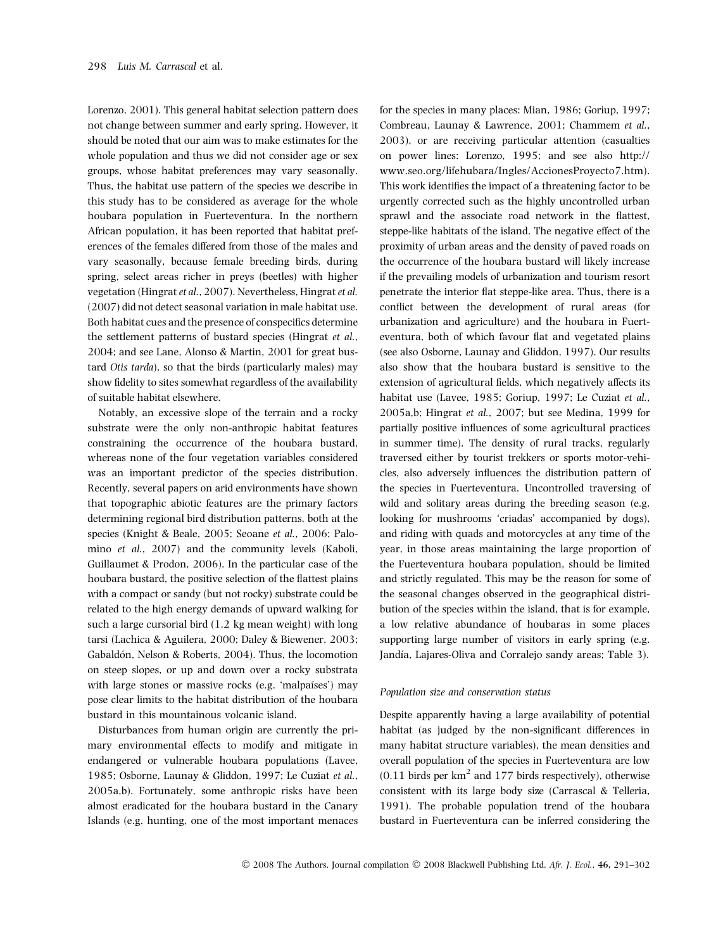Lorenzo, 2001). This general habitat selection pattern does not change between summer and early spring. However, it should be noted that our aim was to make estimates for the whole population and thus we did not consider age or sex groups, whose habitat preferences may vary seasonally. Thus, the habitat use pattern of the species we describe in this study has to be considered as average for the whole houbara population in Fuerteventura. In the northern African population, it has been reported that habitat preferences of the females differed from those of the males and vary seasonally, because female breeding birds, during spring, select areas richer in preys (beetles) with higher vegetation (Hingrat et al., 2007). Nevertheless, Hingrat et al. (2007) did not detect seasonal variation in male habitat use. Both habitat cues and the presence of conspecifics determine the settlement patterns of bustard species (Hingrat et al., 2004; and see Lane, Alonso & Martin, 2001 for great bustard Otis tarda), so that the birds (particularly males) may show fidelity to sites somewhat regardless of the availability of suitable habitat elsewhere.

Notably, an excessive slope of the terrain and a rocky substrate were the only non-anthropic habitat features constraining the occurrence of the houbara bustard, whereas none of the four vegetation variables considered was an important predictor of the species distribution. Recently, several papers on arid environments have shown that topographic abiotic features are the primary factors determining regional bird distribution patterns, both at the species (Knight & Beale, 2005; Seoane et al., 2006; Palomino et al., 2007) and the community levels (Kaboli, Guillaumet & Prodon, 2006). In the particular case of the houbara bustard, the positive selection of the flattest plains with a compact or sandy (but not rocky) substrate could be related to the high energy demands of upward walking for such a large cursorial bird (1.2 kg mean weight) with long tarsi (Lachica & Aguilera, 2000; Daley & Biewener, 2003; Gabaldón, Nelson & Roberts, 2004). Thus, the locomotion on steep slopes, or up and down over a rocky substrata with large stones or massive rocks (e.g. 'malpaíses') may pose clear limits to the habitat distribution of the houbara bustard in this mountainous volcanic island.

Disturbances from human origin are currently the primary environmental effects to modify and mitigate in endangered or vulnerable houbara populations (Lavee, 1985; Osborne, Launay & Gliddon, 1997; Le Cuziat et al., 2005a,b). Fortunately, some anthropic risks have been almost eradicated for the houbara bustard in the Canary Islands (e.g. hunting, one of the most important menaces

for the species in many places: Mian, 1986; Goriup, 1997; Combreau, Launay & Lawrence, 2001; Chammem et al., 2003), or are receiving particular attention (casualties on power lines: Lorenzo, 1995; and see also http:// www.seo.org/lifehubara/Ingles/AccionesProyecto7.htm). This work identifies the impact of a threatening factor to be urgently corrected such as the highly uncontrolled urban sprawl and the associate road network in the flattest, steppe-like habitats of the island. The negative effect of the proximity of urban areas and the density of paved roads on the occurrence of the houbara bustard will likely increase if the prevailing models of urbanization and tourism resort penetrate the interior flat steppe-like area. Thus, there is a conflict between the development of rural areas (for urbanization and agriculture) and the houbara in Fuerteventura, both of which favour flat and vegetated plains (see also Osborne, Launay and Gliddon, 1997). Our results also show that the houbara bustard is sensitive to the extension of agricultural fields, which negatively affects its habitat use (Lavee, 1985; Goriup, 1997; Le Cuziat et al., 2005a,b; Hingrat et al., 2007; but see Medina, 1999 for partially positive influences of some agricultural practices in summer time). The density of rural tracks, regularly traversed either by tourist trekkers or sports motor-vehicles, also adversely influences the distribution pattern of the species in Fuerteventura. Uncontrolled traversing of wild and solitary areas during the breeding season (e.g. looking for mushrooms 'criadas' accompanied by dogs), and riding with quads and motorcycles at any time of the year, in those areas maintaining the large proportion of the Fuerteventura houbara population, should be limited and strictly regulated. This may be the reason for some of the seasonal changes observed in the geographical distribution of the species within the island, that is for example, a low relative abundance of houbaras in some places supporting large number of visitors in early spring (e.g. Jandía, Lajares-Oliva and Corralejo sandy areas; Table 3).

#### Population size and conservation status

Despite apparently having a large availability of potential habitat (as judged by the non-significant differences in many habitat structure variables), the mean densities and overall population of the species in Fuerteventura are low  $(0.11$  birds per km<sup>2</sup> and 177 birds respectively), otherwise consistent with its large body size (Carrascal & Telleria, 1991). The probable population trend of the houbara bustard in Fuerteventura can be inferred considering the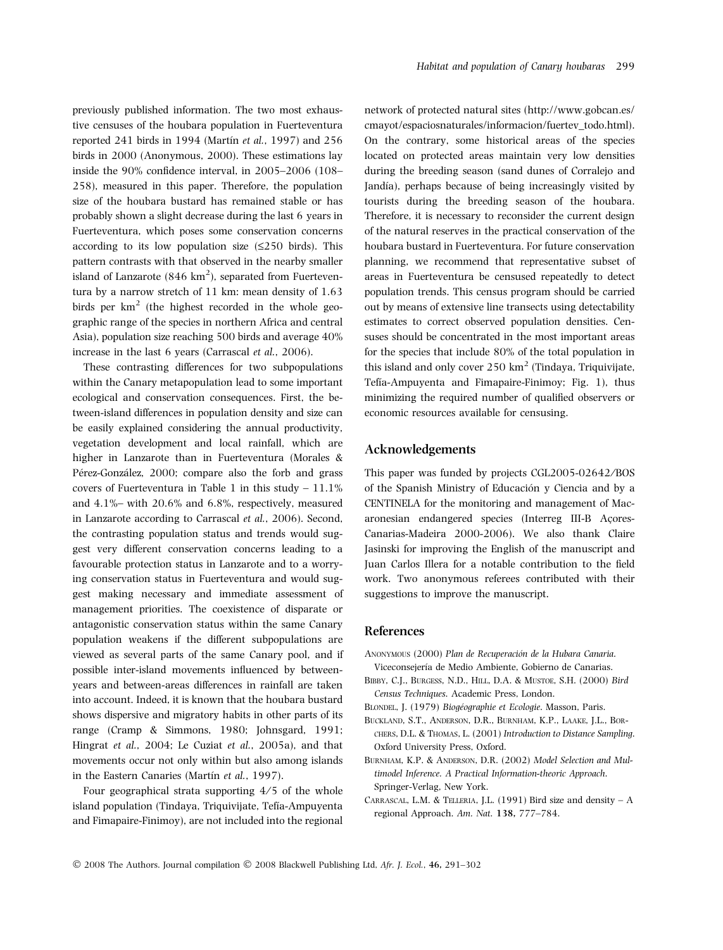previously published information. The two most exhaustive censuses of the houbara population in Fuerteventura reported 241 birds in 1994 (Martín et al., 1997) and 256 birds in 2000 (Anonymous, 2000). These estimations lay inside the 90% confidence interval, in 2005–2006 (108– 258), measured in this paper. Therefore, the population size of the houbara bustard has remained stable or has probably shown a slight decrease during the last 6 years in Fuerteventura, which poses some conservation concerns according to its low population size  $(\leq 250$  birds). This pattern contrasts with that observed in the nearby smaller island of Lanzarote  $(846 \text{ km}^2)$ , separated from Fuerteventura by a narrow stretch of 11 km: mean density of 1.63 birds per  $km^2$  (the highest recorded in the whole geographic range of the species in northern Africa and central Asia), population size reaching 500 birds and average 40% increase in the last 6 years (Carrascal et al., 2006).

These contrasting differences for two subpopulations within the Canary metapopulation lead to some important ecological and conservation consequences. First, the between-island differences in population density and size can be easily explained considering the annual productivity, vegetation development and local rainfall, which are higher in Lanzarote than in Fuerteventura (Morales & Pérez-González, 2000; compare also the forb and grass covers of Fuerteventura in Table 1 in this study  $-11.1\%$ and 4.1%– with 20.6% and 6.8%, respectively, measured in Lanzarote according to Carrascal et al., 2006). Second, the contrasting population status and trends would suggest very different conservation concerns leading to a favourable protection status in Lanzarote and to a worrying conservation status in Fuerteventura and would suggest making necessary and immediate assessment of management priorities. The coexistence of disparate or antagonistic conservation status within the same Canary population weakens if the different subpopulations are viewed as several parts of the same Canary pool, and if possible inter-island movements influenced by betweenyears and between-areas differences in rainfall are taken into account. Indeed, it is known that the houbara bustard shows dispersive and migratory habits in other parts of its range (Cramp & Simmons, 1980; Johnsgard, 1991; Hingrat et al., 2004; Le Cuziat et al., 2005a), and that movements occur not only within but also among islands in the Eastern Canaries (Martín et al., 1997).

Four geographical strata supporting  $4/5$  of the whole island population (Tindaya, Triquivijate, Tefía-Ampuyenta and Fimapaire-Finimoy), are not included into the regional network of protected natural sites (http://www.gobcan.es/ cmayot/espaciosnaturales/informacion/fuertev\_todo.html). On the contrary, some historical areas of the species located on protected areas maintain very low densities during the breeding season (sand dunes of Corralejo and Jandía), perhaps because of being increasingly visited by tourists during the breeding season of the houbara. Therefore, it is necessary to reconsider the current design of the natural reserves in the practical conservation of the houbara bustard in Fuerteventura. For future conservation planning, we recommend that representative subset of areas in Fuerteventura be censused repeatedly to detect population trends. This census program should be carried out by means of extensive line transects using detectability estimates to correct observed population densities. Censuses should be concentrated in the most important areas for the species that include 80% of the total population in this island and only cover  $250 \text{ km}^2$  (Tindaya, Triquivijate, Tefía-Ampuyenta and Fimapaire-Finimoy; Fig. 1), thus minimizing the required number of qualified observers or economic resources available for censusing.

# Acknowledgements

This paper was funded by projects CGL2005-02642/BOS of the Spanish Ministry of Educación y Ciencia and by a CENTINELA for the monitoring and management of Macaronesian endangered species (Interreg III-B Acores-Canarias-Madeira 2000-2006). We also thank Claire Jasinski for improving the English of the manuscript and Juan Carlos Illera for a notable contribution to the field work. Two anonymous referees contributed with their suggestions to improve the manuscript.

## References

- ANONYMOUS (2000) Plan de Recuperación de la Hubara Canaria. Viceconsejería de Medio Ambiente, Gobierno de Canarias.
- Bibby, C.J., Burgess, N.D., Hill, D.A. & Mustoe, S.H. (2000) Bird Census Techniques. Academic Press, London.
- BLONDEL, J. (1979) Biogéographie et Ecologie. Masson, Paris.
- Buckland, S.T., Anderson, D.R., Burnham, K.P., Laake, J.L., Borchers, D.L. & Thomas, L. (2001) Introduction to Distance Sampling. Oxford University Press, Oxford.
- Burnham, K.P. & Anderson, D.R. (2002) Model Selection and Multimodel Inference. A Practical Information-theoric Approach. Springer-Verlag, New York.
- CARRASCAL, L.M. & TELLERIA, J.L. (1991) Bird size and density  $A$ regional Approach. Am. Nat. 138, 777–784.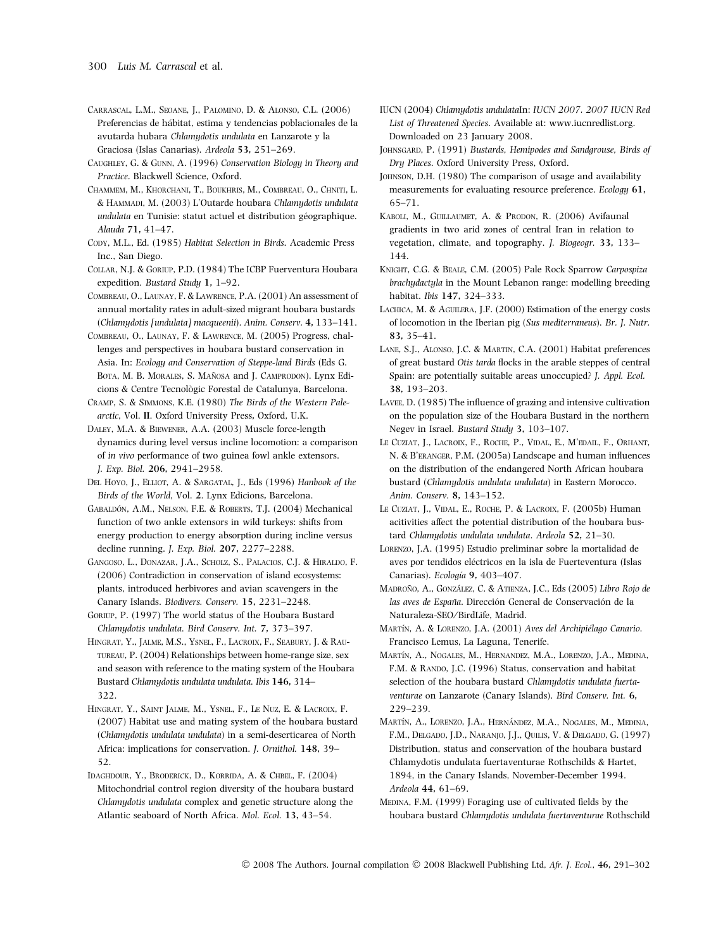- Carrascal, L.M., Seoane, J., Palomino, D. & Alonso, C.L. (2006) Preferencias de hábitat, estima y tendencias poblacionales de la avutarda hubara Chlamydotis undulata en Lanzarote y la Graciosa (Islas Canarias). Ardeola 53, 251–269.
- Caughley, G. & Gunn, A. (1996) Conservation Biology in Theory and Practice. Blackwell Science, Oxford.
- Chammem, M., Khorchani, T., Boukhris, M., Combreau, O., Chniti, L. & Hammadi, M. (2003) L'Outarde houbara Chlamydotis undulata undulata en Tunisie: statut actuel et distribution géographique. Alauda 71, 41–47.
- CODY, M.L., Ed. (1985) Habitat Selection in Birds. Academic Press Inc., San Diego.
- Collar, N.J. & Goriup, P.D. (1984) The ICBP Fuerventura Houbara expedition. Bustard Study 1, 1–92.
- Combreau, O., Launay, F. & Lawrence, P.A. (2001) An assessment of annual mortality rates in adult-sized migrant houbara bustards (Chlamydotis [undulata] macqueenii). Anim. Conserv. 4, 133–141.
- Combreau, O., Launay, F. & Lawrence, M. (2005) Progress, challenges and perspectives in houbara bustard conservation in Asia. In: Ecology and Conservation of Steppe-land Birds (Eds G. BOTA, M. B. MORALES, S. MAÑOSA and J. CAMPRODON). Lynx Edicions & Centre Tecnològic Forestal de Catalunya, Barcelona.
- Cramp, S. & Simmons, K.E. (1980) The Birds of the Western Palearctic, Vol. II. Oxford University Press, Oxford, U.K.
- Daley, M.A. & Biewener, A.A. (2003) Muscle force-length dynamics during level versus incline locomotion: a comparison of in vivo performance of two guinea fowl ankle extensors. J. Exp. Biol. 206, 2941–2958.
- DEL HOYO, J., ELLIOT, A. & SARGATAL, J., Eds (1996) Hanbook of the Birds of the World, Vol. 2. Lynx Edicions, Barcelona.
- GABALDÓN, A.M., NELSON, F.E. & ROBERTS, T.J. (2004) Mechanical function of two ankle extensors in wild turkeys: shifts from energy production to energy absorption during incline versus decline running. J. Exp. Biol. 207, 2277–2288.
- Gangoso, L., Donazar, J.A., Scholz, S., Palacios, C.J. & Hiraldo, F. (2006) Contradiction in conservation of island ecosystems: plants, introduced herbivores and avian scavengers in the Canary Islands. Biodivers. Conserv. 15, 2231–2248.
- Goriup, P. (1997) The world status of the Houbara Bustard Chlamydotis undulata. Bird Conserv. Int. 7, 373–397.
- HINGRAT, Y., JALME, M.S., YSNEL, F., LACROIX, F., SEABURY, J. & RAUtureau, P. (2004) Relationships between home-range size, sex and season with reference to the mating system of the Houbara Bustard Chlamydotis undulata undulata. Ibis 146, 314– 322.
- HINGRAT, Y., SAINT JALME, M., YSNEL, F., LE NUZ, E. & LACROIX, F. (2007) Habitat use and mating system of the houbara bustard (Chlamydotis undulata undulata) in a semi-deserticarea of North Africa: implications for conservation. J. Ornithol. 148, 39– 52.
- Idaghdour, Y., Broderick, D., Korrida, A. & Chbel, F. (2004) Mitochondrial control region diversity of the houbara bustard Chlamydotis undulata complex and genetic structure along the Atlantic seaboard of North Africa. Mol. Ecol. 13, 43–54.
- IUCN (2004) Chlamydotis undulataIn: IUCN 2007. 2007 IUCN Red List of Threatened Species. Available at: www.iucnredlist.org. Downloaded on 23 January 2008.
- JOHNSGARD, P. (1991) Bustards, Hemipodes and Sandgrouse, Birds of Dry Places. Oxford University Press, Oxford.
- JOHNSON, D.H. (1980) The comparison of usage and availability measurements for evaluating resource preference. Ecology 61, 65–71.
- KABOLI, M., GUILLAUMET, A. & PRODON, R. (2006) Avifaunal gradients in two arid zones of central Iran in relation to vegetation, climate, and topography. J. Biogeogr. 33, 133– 144.
- Knight, C.G. & Beale, C.M. (2005) Pale Rock Sparrow Carpospiza brachydactyla in the Mount Lebanon range: modelling breeding habitat. Ibis 147, 324–333.
- LACHICA, M. & AGUILERA, J.F. (2000) Estimation of the energy costs of locomotion in the Iberian pig (Sus mediterraneus). Br. J. Nutr. 83, 35–41.
- Lane, S.J., Alonso, J.C. & Martin, C.A. (2001) Habitat preferences of great bustard Otis tarda flocks in the arable steppes of central Spain: are potentially suitable areas unoccupied? J. Appl. Ecol. 38, 193–203.
- Lavee, D. (1985) The influence of grazing and intensive cultivation on the population size of the Houbara Bustard in the northern Negev in Israel. Bustard Study 3, 103–107.
- LE CUZIAT, J., LACROIX, F., ROCHE, P., VIDAL, E., M'EDAIL, F., ORHANT, N. & B'eranger, P.M. (2005a) Landscape and human influences on the distribution of the endangered North African houbara bustard (Chlamydotis undulata undulata) in Eastern Morocco. Anim. Conserv. 8, 143–152.
- LE CUZIAT, J., VIDAL, E., ROCHE, P. & LACROIX, F. (2005b) Human acitivities affect the potential distribution of the houbara bustard Chlamydotis undulata undulata. Ardeola 52, 21–30.
- Lorenzo, J.A. (1995) Estudio preliminar sobre la mortalidad de aves por tendidos eléctricos en la isla de Fuerteventura (Islas Canarias). Ecología 9, 403-407.
- MADROÑO, A., GONZÁLEZ, C. & ATIENZA, J.C., Eds (2005) Libro Rojo de las aves de España. Dirección General de Conservación de la Naturaleza-SEO ⁄ BirdLife, Madrid.
- MARTÍN, A. & LORENZO, J.A. (2001) Aves del Archipiélago Canario. Francisco Lemus, La Laguna, Tenerife.
- MARTÍN, A., NOGALES, M., HERNANDEZ, M.A., LORENZO, J.A., MEDINA, F.M. & RANDO, J.C. (1996) Status, conservation and habitat selection of the houbara bustard Chlamydotis undulata fuertaventurae on Lanzarote (Canary Islands). Bird Conserv. Int. 6, 229–239.
- MARTÍN, A., LORENZO, J.A., HERNÁNDEZ, M.A., NOGALES, M., MEDINA, F.M., Delgado, J.D., Naranjo, J.J., Quilis, V. & Delgado, G. (1997) Distribution, status and conservation of the houbara bustard Chlamydotis undulata fuertaventurae Rothschilds & Hartet, 1894, in the Canary Islands, November-December 1994. Ardeola 44, 61–69.
- Medina, F.M. (1999) Foraging use of cultivated fields by the houbara bustard Chlamydotis undulata fuertaventurae Rothschild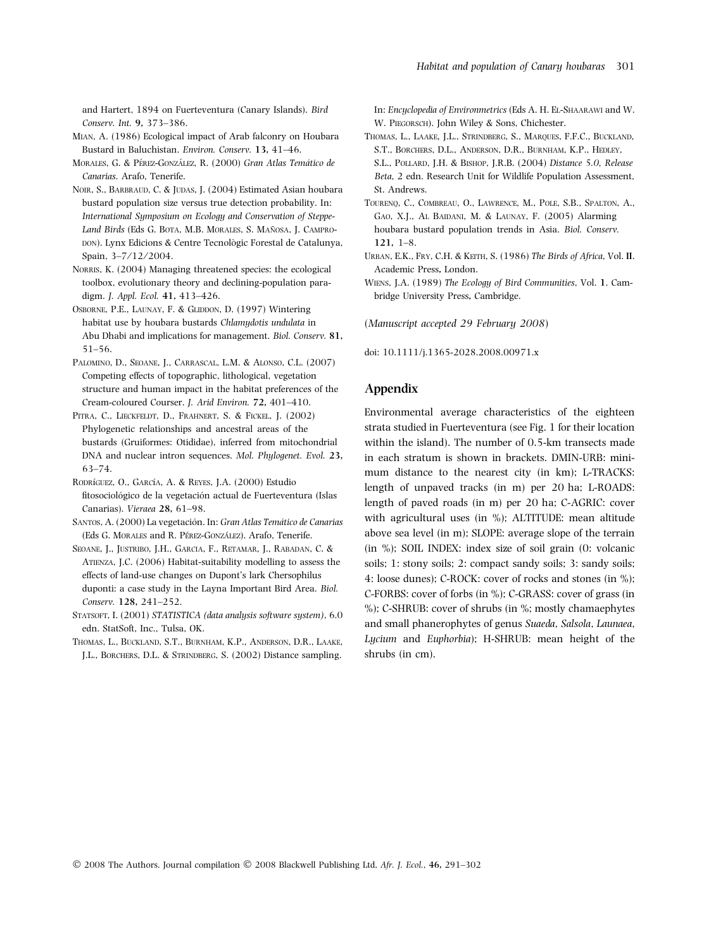and Hartert, 1894 on Fuerteventura (Canary Islands). Bird Conserv. Int. 9, 373–386.

- Mian, A. (1986) Ecological impact of Arab falconry on Houbara Bustard in Baluchistan. Environ. Conserv. 13, 41–46.
- MORALES, G. & PÉREZ-GONZÁLEZ, R. (2000) Gran Atlas Temático de Canarias. Arafo, Tenerife.
- NOIR, S., BARBRAUD, C. & JUDAS, J. (2004) Estimated Asian houbara bustard population size versus true detection probability. In: International Symposium on Ecology and Conservation of Steppe-Land Birds (Eds G. BOTA, M.B. MORALES, S. MAÑOSA, J. CAMPRO-DON). Lynx Edicions & Centre Tecnològic Forestal de Catalunya, Spain, 3-7/12/2004.
- NORRIS, K. (2004) Managing threatened species: the ecological toolbox, evolutionary theory and declining-population paradigm. J. Appl. Ecol. 41, 413–426.
- OSBORNE, P.E., LAUNAY, F. & GLIDDON, D. (1997) Wintering habitat use by houbara bustards Chlamydotis undulata in Abu Dhabi and implications for management. Biol. Conserv. 81, 51–56.
- PALOMINO, D., SEOANE, J., CARRASCAL, L.M. & ALONSO, C.L. (2007) Competing effects of topographic, lithological, vegetation structure and human impact in the habitat preferences of the Cream-coloured Courser. J. Arid Environ. 72, 401–410.
- PITRA, C., LIECKFELDT, D., FRAHNERT, S. & FICKEL, J. (2002) Phylogenetic relationships and ancestral areas of the bustards (Gruiformes: Otididae), inferred from mitochondrial DNA and nuclear intron sequences. Mol. Phylogenet. Evol. 23, 63–74.
- RODRÍGUEZ, O., GARCÍA, A. & REYES, J.A. (2000) Estudio fitosociológico de la vegetación actual de Fuerteventura (Islas Canarias). Vieraea 28, 61–98.
- SANTOS, A. (2000) La vegetación. In: Gran Atlas Temático de Canarias (Eds G. MORALES and R. PÉREZ-GONZÁLEZ). Arafo, Tenerife.
- Seoane, J., Justribo, J.H., Garcia, F., Retamar, J., Rabadan, C. & ATIENZA, J.C. (2006) Habitat-suitability modelling to assess the effects of land-use changes on Dupont's lark Chersophilus duponti: a case study in the Layna Important Bird Area. Biol. Conserv. 128, 241–252.
- STATSOFT, I. (2001) STATISTICA (data analysis software system), 6.0 edn. StatSoft, Inc., Tulsa, OK.
- Thomas, L., Buckland, S.T., Burnham, K.P., Anderson, D.R., Laake, J.L., Borchers, D.L. & Strindberg, S. (2002) Distance sampling.

In: Encyclopedia of Environmetrics (Eds A. H. El-Shaarawi and W. W. Piegorsch). John Wiley & Sons, Chichester.

- THOMAS, L., LAAKE, J.L., STRINDBERG, S., MAROUES, F.F.C., BUCKLAND, S.T., Borchers, D.L., Anderson, D.R., Burnham, K.P., Hedley, S.L., Pollard, J.H. & Bishop, J.R.B. (2004) Distance 5.0, Release Beta, 2 edn. Research Unit for Wildlife Population Assessment, St. Andrews.
- TOURENO, C., COMBREAU, O., LAWRENCE, M., POLE, S.B., SPALTON, A., Gao, X.J., Al Baidani, M. & Launay, F. (2005) Alarming houbara bustard population trends in Asia. Biol. Conserv. 121, 1–8.
- URBAN, E.K., FRY, C.H. & KEITH, S. (1986) The Birds of Africa, Vol. II. Academic Press, London.
- Wiens, J.A. (1989) The Ecology of Bird Communities, Vol. 1. Cambridge University Press, Cambridge.

(Manuscript accepted 29 February 2008)

doi: 10.1111/j.1365-2028.2008.00971.x

# Appendix

Environmental average characteristics of the eighteen strata studied in Fuerteventura (see Fig. 1 for their location within the island). The number of 0.5-km transects made in each stratum is shown in brackets. DMIN-URB: minimum distance to the nearest city (in km); L-TRACKS: length of unpaved tracks (in m) per 20 ha; L-ROADS: length of paved roads (in m) per 20 ha; C-AGRIC: cover with agricultural uses (in %); ALTITUDE: mean altitude above sea level (in m); SLOPE: average slope of the terrain (in %); SOIL INDEX: index size of soil grain (0: volcanic soils; 1: stony soils; 2: compact sandy soils; 3: sandy soils; 4: loose dunes); C-ROCK: cover of rocks and stones (in %); C-FORBS: cover of forbs (in %); C-GRASS: cover of grass (in %); C-SHRUB: cover of shrubs (in %; mostly chamaephytes and small phanerophytes of genus Suaeda, Salsola, Launaea, Lycium and Euphorbia); H-SHRUB: mean height of the shrubs (in cm).